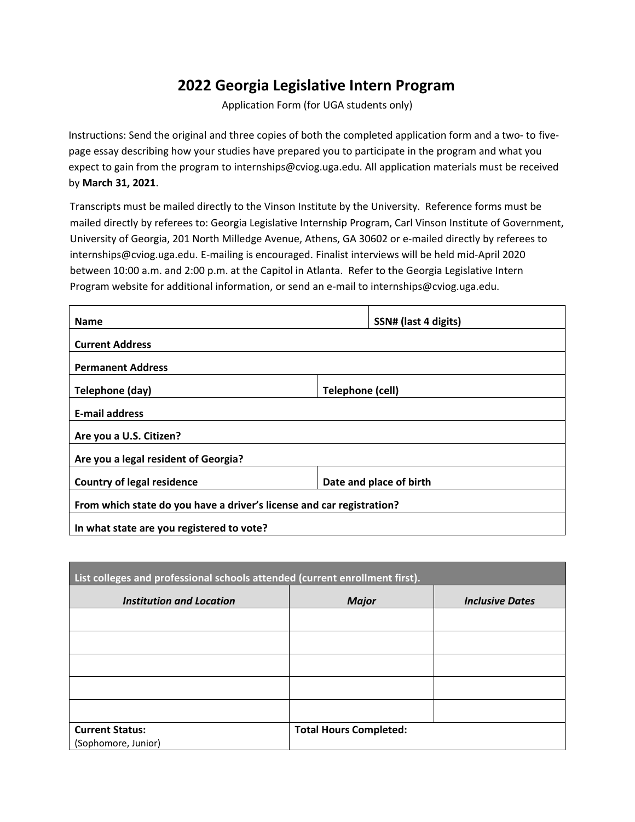## **2022 Georgia Legislative Intern Program**

Application Form (for UGA students only)

Instructions: Send the original and three copies of both the completed application form and a two- to fivepage essay describing how your studies have prepared you to participate in the program and what you expect to gain from the program to internships@cviog.uga.edu. All application materials must be received by **March 31, 2021**.

Transcripts must be mailed directly to the Vinson Institute by the University. Reference forms must be mailed directly by referees to: Georgia Legislative Internship Program, Carl Vinson Institute of Government, University of Georgia, 201 North Milledge Avenue, Athens, GA 30602 or e-mailed directly by referees to internships@cviog.uga.edu. E-mailing is encouraged. Finalist interviews will be held mid-April 2020 between 10:00 a.m. and 2:00 p.m. at the Capitol in Atlanta. Refer to the Georgia Legislative Intern Program website for additional information, or send an e-mail to internships@cviog.uga.edu.

| <b>Name</b>                                                           |                  | SSN# (last 4 digits)    |  |  |
|-----------------------------------------------------------------------|------------------|-------------------------|--|--|
| <b>Current Address</b>                                                |                  |                         |  |  |
| <b>Permanent Address</b>                                              |                  |                         |  |  |
| Telephone (day)                                                       | Telephone (cell) |                         |  |  |
| <b>E-mail address</b>                                                 |                  |                         |  |  |
| Are you a U.S. Citizen?                                               |                  |                         |  |  |
| Are you a legal resident of Georgia?                                  |                  |                         |  |  |
| <b>Country of legal residence</b>                                     |                  | Date and place of birth |  |  |
| From which state do you have a driver's license and car registration? |                  |                         |  |  |
| In what state are you registered to vote?                             |                  |                         |  |  |

| List colleges and professional schools attended (current enrollment first). |                               |                        |  |
|-----------------------------------------------------------------------------|-------------------------------|------------------------|--|
| <b>Institution and Location</b>                                             | <b>Major</b>                  | <b>Inclusive Dates</b> |  |
|                                                                             |                               |                        |  |
|                                                                             |                               |                        |  |
|                                                                             |                               |                        |  |
|                                                                             |                               |                        |  |
|                                                                             |                               |                        |  |
| <b>Current Status:</b><br>(Sophomore, Junior)                               | <b>Total Hours Completed:</b> |                        |  |